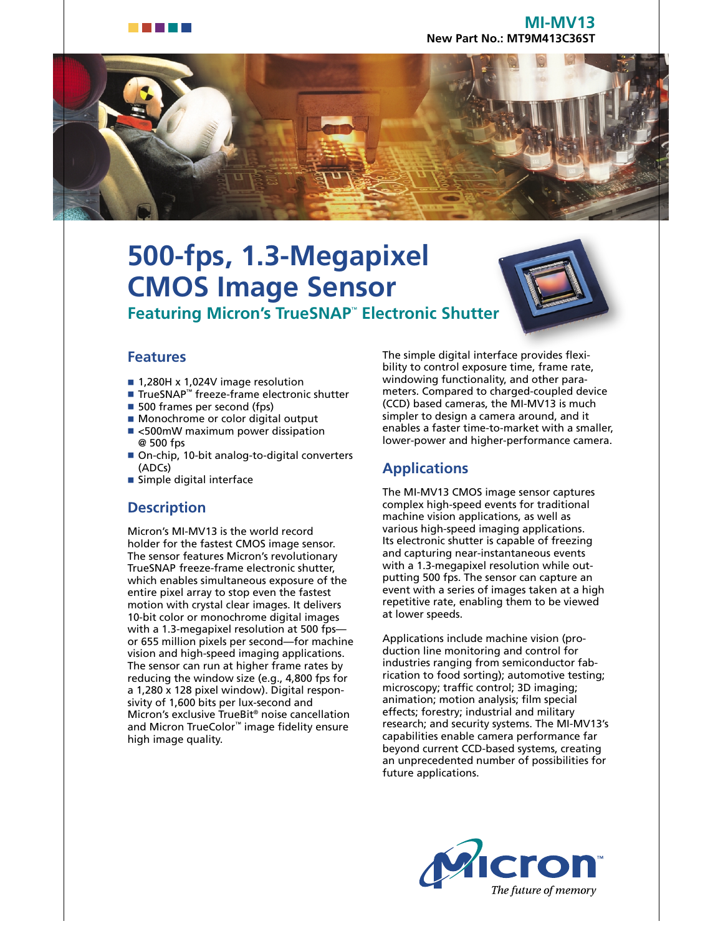

#### **MI-MV13 New Part No.: MT9M413C36ST**



# **500-fps, 1.3-Megapixel CMOS Image Sensor Featuring Micron's TrueSNAP**™  **Electronic Shutter**



### **Features**

- 1,280H x 1,024V image resolution
- TrueSNAP™ freeze-frame electronic shutter
- 500 frames per second (fps)
- Monochrome or color digital output
- <500mW maximum power dissipation @ 500 fps
- On-chip, 10-bit analog-to-digital converters (ADCs)
- Simple digital interface

### **Description**

Micron's MI-MV13 is the world record holder for the fastest CMOS image sensor. The sensor features Micron's revolutionary TrueSNAP freeze-frame electronic shutter, which enables simultaneous exposure of the entire pixel array to stop even the fastest motion with crystal clear images. It delivers 10-bit color or monochrome digital images with a 1.3-megapixel resolution at 500 fps or 655 million pixels per second—for machine vision and high-speed imaging applications. The sensor can run at higher frame rates by reducing the window size (e.g., 4,800 fps for a 1,280 x 128 pixel window). Digital responsivity of 1,600 bits per lux-second and Micron's exclusive TrueBit® noise cancellation and Micron TrueColor™ image fidelity ensure high image quality.

The simple digital interface provides flexibility to control exposure time, frame rate, windowing functionality, and other parameters. Compared to charged-coupled device (CCD) based cameras, the MI-MV13 is much simpler to design a camera around, and it enables a faster time-to-market with a smaller, lower-power and higher-performance camera.

## **Applications**

The MI-MV13 CMOS image sensor captures complex high-speed events for traditional machine vision applications, as well as various high-speed imaging applications. Its electronic shutter is capable of freezing and capturing near-instantaneous events with a 1.3-megapixel resolution while outputting 500 fps. The sensor can capture an event with a series of images taken at a high repetitive rate, enabling them to be viewed at lower speeds.

Applications include machine vision (production line monitoring and control for industries ranging from semiconductor fabrication to food sorting); automotive testing; microscopy; traffic control; 3D imaging; animation; motion analysis; film special effects; forestry; industrial and military research; and security systems. The MI-MV13's capabilities enable camera performance far beyond current CCD-based systems, creating an unprecedented number of possibilities for future applications.